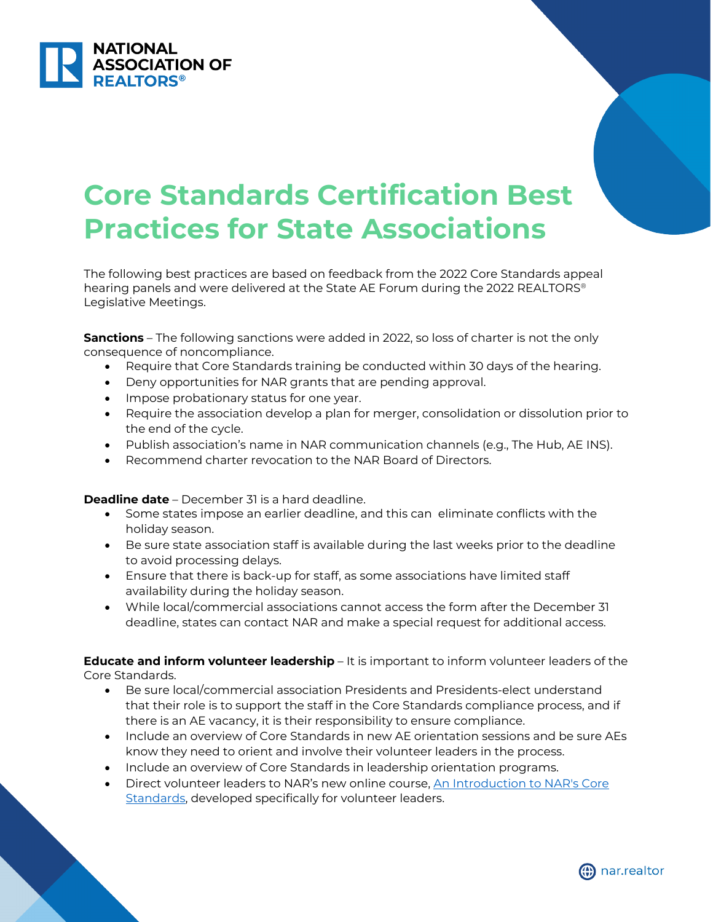

## **Core Standards Certification Best Practices for State Associations**

The following best practices are based on feedback from the 2022 Core Standards appeal hearing panels and were delivered at the State AE Forum during the 2022 REALTORS® Legislative Meetings.

**Sanctions** – The following sanctions were added in 2022, so loss of charter is not the only consequence of noncompliance.

- Require that Core Standards training be conducted within 30 days of the hearing.
- Deny opportunities for NAR grants that are pending approval.
- Impose probationary status for one year.
- Require the association develop a plan for merger, consolidation or dissolution prior to the end of the cycle.
- Publish association's name in NAR communication channels (e.g., The Hub, AE INS).
- Recommend charter revocation to the NAR Board of Directors.

**Deadline date** – December 31 is a hard deadline.

- Some states impose an earlier deadline, and this can eliminate conflicts with the holiday season.
- Be sure state association staff is available during the last weeks prior to the deadline to avoid processing delays.
- Ensure that there is back-up for staff, as some associations have limited staff availability during the holiday season.
- While local/commercial associations cannot access the form after the December 31 deadline, states can contact NAR and make a special request for additional access.

**Educate and inform volunteer leadership** – It is important to inform volunteer leaders of the Core Standards.

- Be sure local/commercial association Presidents and Presidents-elect understand that their role is to support the staff in the Core Standards compliance process, and if there is an AE vacancy, it is their responsibility to ensure compliance.
- Include an overview of Core Standards in new AE orientation sessions and be sure AEs know they need to orient and involve their volunteer leaders in the process.
- Include an overview of Core Standards in leadership orientation programs.
- Direct volunteer leaders to NAR's new online course, An Introduction to NAR's Core [Standards,](https://www.nar.realtor/ae/manage-your-association/core-standards-for-state-and-local-associations/an-introduction-to-nars-core-standards) developed specifically for volunteer leaders.